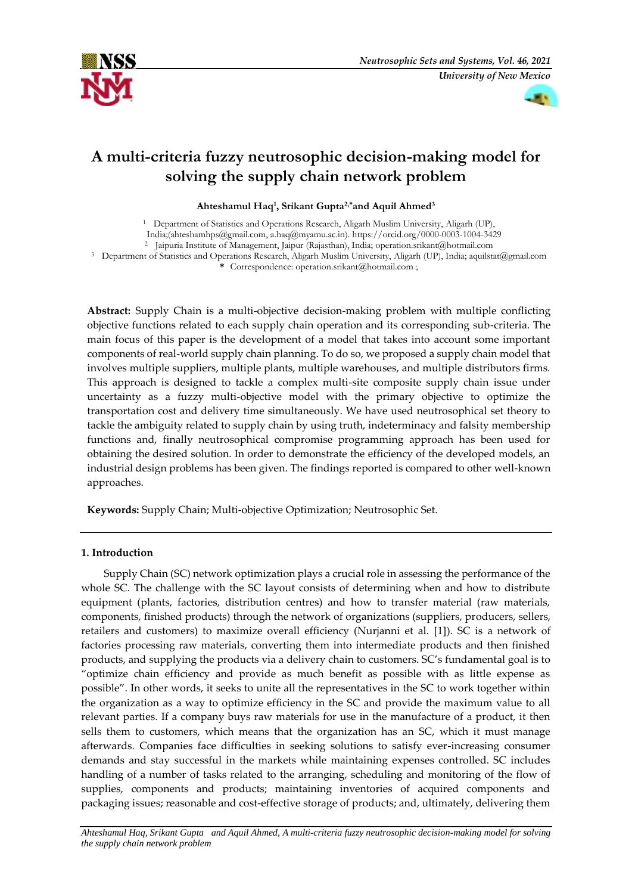



# **A multi-criteria fuzzy neutrosophic decision-making model for solving the supply chain network problem**

**Ahteshamul Haq<sup>1</sup> , Srikant Gupta2,\*and Aquil Ahmed<sup>3</sup>**

<sup>1</sup> Department of Statistics and Operations Research, Aligarh Muslim University, Aligarh (UP),

India;(ahteshamhps@gmail.com, [a.haq@myamu.ac.in\)](mailto:a.haq@myamu.ac.in).<https://orcid.org/0000-0003-1004-3429>

<sup>2</sup> Jaipuria Institute of Management, Jaipur (Rajasthan), India; [operation.srikant@hotmail.com](mailto:operation.srikant@hotmail.com)

<sup>3</sup> Department of Statistics and Operations Research, Aligarh Muslim University, Aligarh (UP), India; [aquilstat@gmail.com](mailto:aquilstat@gmail.com)

**\*** Correspondence[: operation.srikant@hotmail.com](mailto:operation.srikant@hotmail.com) ;

**Abstract:** Supply Chain is a multi-objective decision-making problem with multiple conflicting objective functions related to each supply chain operation and its corresponding sub-criteria. The main focus of this paper is the development of a model that takes into account some important components of real-world supply chain planning. To do so, we proposed a supply chain model that involves multiple suppliers, multiple plants, multiple warehouses, and multiple distributors firms. This approach is designed to tackle a complex multi-site composite supply chain issue under uncertainty as a fuzzy multi-objective model with the primary objective to optimize the transportation cost and delivery time simultaneously. We have used neutrosophical set theory to tackle the ambiguity related to supply chain by using truth, indeterminacy and falsity membership functions and, finally neutrosophical compromise programming approach has been used for obtaining the desired solution. In order to demonstrate the efficiency of the developed models, an industrial design problems has been given. The findings reported is compared to other well-known approaches.

**Keywords:** Supply Chain; Multi-objective Optimization; Neutrosophic Set.

# **1. Introduction**

Supply Chain (SC) network optimization plays a crucial role in assessing the performance of the whole SC. The challenge with the SC layout consists of determining when and how to distribute equipment (plants, factories, distribution centres) and how to transfer material (raw materials, components, finished products) through the network of organizations (suppliers, producers, sellers, retailers and customers) to maximize overall efficiency (Nurjanni et al. [1]). SC is a network of factories processing raw materials, converting them into intermediate products and then finished products, and supplying the products via a delivery chain to customers. SC's fundamental goal is to "optimize chain efficiency and provide as much benefit as possible with as little expense as possible". In other words, it seeks to unite all the representatives in the SC to work together within the organization as a way to optimize efficiency in the SC and provide the maximum value to all relevant parties. If a company buys raw materials for use in the manufacture of a product, it then sells them to customers, which means that the organization has an SC, which it must manage afterwards. Companies face difficulties in seeking solutions to satisfy ever-increasing consumer demands and stay successful in the markets while maintaining expenses controlled. SC includes handling of a number of tasks related to the arranging, scheduling and monitoring of the flow of supplies, components and products; maintaining inventories of acquired components and packaging issues; reasonable and cost-effective storage of products; and, ultimately, delivering them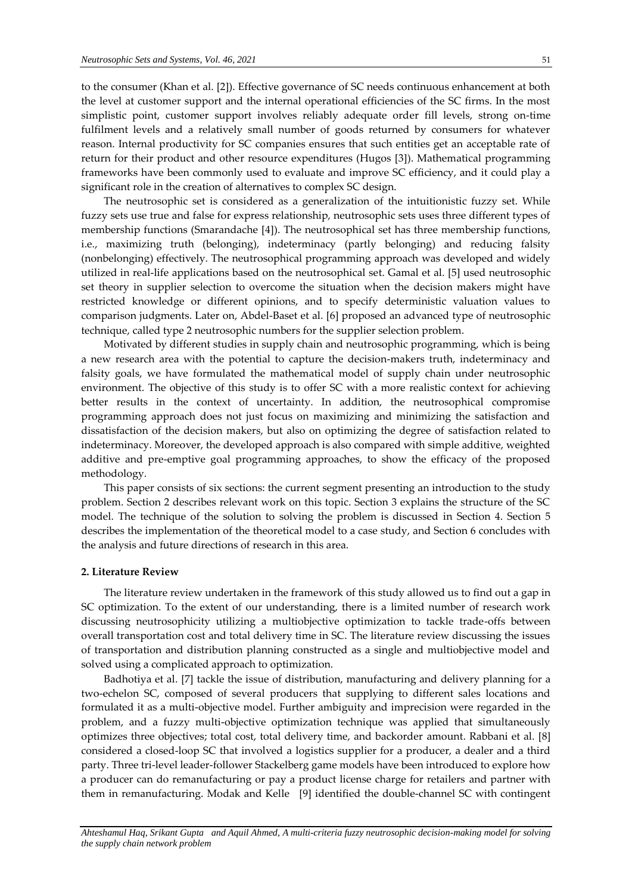to the consumer (Khan et al. [2]). Effective governance of SC needs continuous enhancement at both the level at customer support and the internal operational efficiencies of the SC firms. In the most simplistic point, customer support involves reliably adequate order fill levels, strong on-time fulfilment levels and a relatively small number of goods returned by consumers for whatever reason. Internal productivity for SC companies ensures that such entities get an acceptable rate of return for their product and other resource expenditures (Hugos [3]). Mathematical programming frameworks have been commonly used to evaluate and improve SC efficiency, and it could play a significant role in the creation of alternatives to complex SC design.

The neutrosophic set is considered as a generalization of the intuitionistic fuzzy set. While fuzzy sets use true and false for express relationship, neutrosophic sets uses three different types of membership functions (Smarandache [4]). The neutrosophical set has three membership functions, i.e., maximizing truth (belonging), indeterminacy (partly belonging) and reducing falsity (nonbelonging) effectively. The neutrosophical programming approach was developed and widely utilized in real-life applications based on the neutrosophical set. Gamal et al. [5] used neutrosophic set theory in supplier selection to overcome the situation when the decision makers might have restricted knowledge or different opinions, and to specify deterministic valuation values to comparison judgments. Later on, Abdel-Baset et al. [6] proposed an advanced type of neutrosophic technique, called type 2 neutrosophic numbers for the supplier selection problem.

Motivated by different studies in supply chain and neutrosophic programming, which is being a new research area with the potential to capture the decision-makers truth, indeterminacy and falsity goals, we have formulated the mathematical model of supply chain under neutrosophic environment. The objective of this study is to offer SC with a more realistic context for achieving better results in the context of uncertainty. In addition, the neutrosophical compromise programming approach does not just focus on maximizing and minimizing the satisfaction and dissatisfaction of the decision makers, but also on optimizing the degree of satisfaction related to indeterminacy. Moreover, the developed approach is also compared with simple additive, weighted additive and pre-emptive goal programming approaches, to show the efficacy of the proposed methodology.

This paper consists of six sections: the current segment presenting an introduction to the study problem. Section 2 describes relevant work on this topic. Section 3 explains the structure of the SC model. The technique of the solution to solving the problem is discussed in Section 4. Section 5 describes the implementation of the theoretical model to a case study, and Section 6 concludes with the analysis and future directions of research in this area.

### **2. Literature Review**

The literature review undertaken in the framework of this study allowed us to find out a gap in SC optimization. To the extent of our understanding, there is a limited number of research work discussing neutrosophicity utilizing a multiobjective optimization to tackle trade-offs between overall transportation cost and total delivery time in SC. The literature review discussing the issues of transportation and distribution planning constructed as a single and multiobjective model and solved using a complicated approach to optimization.

Badhotiya et al. [7] tackle the issue of distribution, manufacturing and delivery planning for a two-echelon SC, composed of several producers that supplying to different sales locations and formulated it as a multi-objective model. Further ambiguity and imprecision were regarded in the problem, and a fuzzy multi-objective optimization technique was applied that simultaneously optimizes three objectives; total cost, total delivery time, and backorder amount. Rabbani et al. [8] considered a closed-loop SC that involved a logistics supplier for a producer, a dealer and a third party. Three tri-level leader-follower Stackelberg game models have been introduced to explore how a producer can do remanufacturing or pay a product license charge for retailers and partner with them in remanufacturing. Modak and Kelle [9] identified the double-channel SC with contingent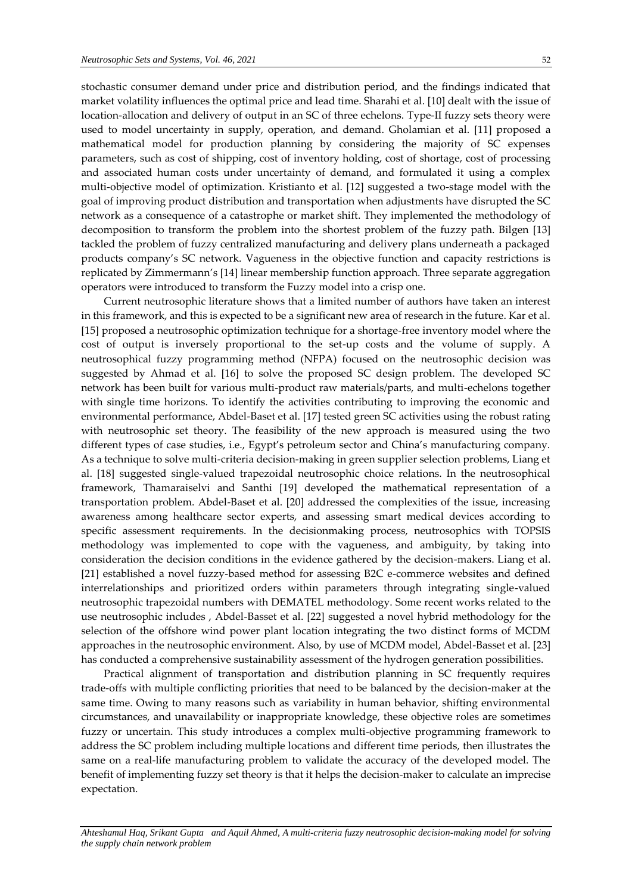stochastic consumer demand under price and distribution period, and the findings indicated that market volatility influences the optimal price and lead time. Sharahi et al. [10] dealt with the issue of location-allocation and delivery of output in an SC of three echelons. Type-II fuzzy sets theory were used to model uncertainty in supply, operation, and demand. Gholamian et al. [11] proposed a mathematical model for production planning by considering the majority of SC expenses parameters, such as cost of shipping, cost of inventory holding, cost of shortage, cost of processing and associated human costs under uncertainty of demand, and formulated it using a complex multi-objective model of optimization. Kristianto et al. [12] suggested a two-stage model with the goal of improving product distribution and transportation when adjustments have disrupted the SC network as a consequence of a catastrophe or market shift. They implemented the methodology of decomposition to transform the problem into the shortest problem of the fuzzy path. Bilgen [13] tackled the problem of fuzzy centralized manufacturing and delivery plans underneath a packaged products company's SC network. Vagueness in the objective function and capacity restrictions is replicated by Zimmermann's [14] linear membership function approach. Three separate aggregation operators were introduced to transform the Fuzzy model into a crisp one.

Current neutrosophic literature shows that a limited number of authors have taken an interest in this framework, and this is expected to be a significant new area of research in the future. Kar et al. [15] proposed a neutrosophic optimization technique for a shortage-free inventory model where the cost of output is inversely proportional to the set-up costs and the volume of supply. A neutrosophical fuzzy programming method (NFPA) focused on the neutrosophic decision was suggested by Ahmad et al. [16] to solve the proposed SC design problem. The developed SC network has been built for various multi-product raw materials/parts, and multi-echelons together with single time horizons. To identify the activities contributing to improving the economic and environmental performance, Abdel-Baset et al. [17] tested green SC activities using the robust rating with neutrosophic set theory. The feasibility of the new approach is measured using the two different types of case studies, i.e., Egypt's petroleum sector and China's manufacturing company. As a technique to solve multi-criteria decision-making in green supplier selection problems, Liang et al. [18] suggested single-valued trapezoidal neutrosophic choice relations. In the neutrosophical framework, Thamaraiselvi and Santhi [19] developed the mathematical representation of a transportation problem. Abdel-Baset et al. [20] addressed the complexities of the issue, increasing awareness among healthcare sector experts, and assessing smart medical devices according to specific assessment requirements. In the decisionmaking process, neutrosophics with TOPSIS methodology was implemented to cope with the vagueness, and ambiguity, by taking into consideration the decision conditions in the evidence gathered by the decision-makers. Liang et al. [21] established a novel fuzzy-based method for assessing B2C e-commerce websites and defined interrelationships and prioritized orders within parameters through integrating single-valued neutrosophic trapezoidal numbers with DEMATEL methodology. Some recent works related to the use neutrosophic includes , Abdel-Basset et al. [22] suggested a novel hybrid methodology for the selection of the offshore wind power plant location integrating the two distinct forms of MCDM approaches in the neutrosophic environment. Also, by use of MCDM model, Abdel-Basset et al. [23] has conducted a comprehensive sustainability assessment of the hydrogen generation possibilities.

Practical alignment of transportation and distribution planning in SC frequently requires trade-offs with multiple conflicting priorities that need to be balanced by the decision-maker at the same time. Owing to many reasons such as variability in human behavior, shifting environmental circumstances, and unavailability or inappropriate knowledge, these objective roles are sometimes fuzzy or uncertain. This study introduces a complex multi-objective programming framework to address the SC problem including multiple locations and different time periods, then illustrates the same on a real-life manufacturing problem to validate the accuracy of the developed model. The benefit of implementing fuzzy set theory is that it helps the decision-maker to calculate an imprecise expectation.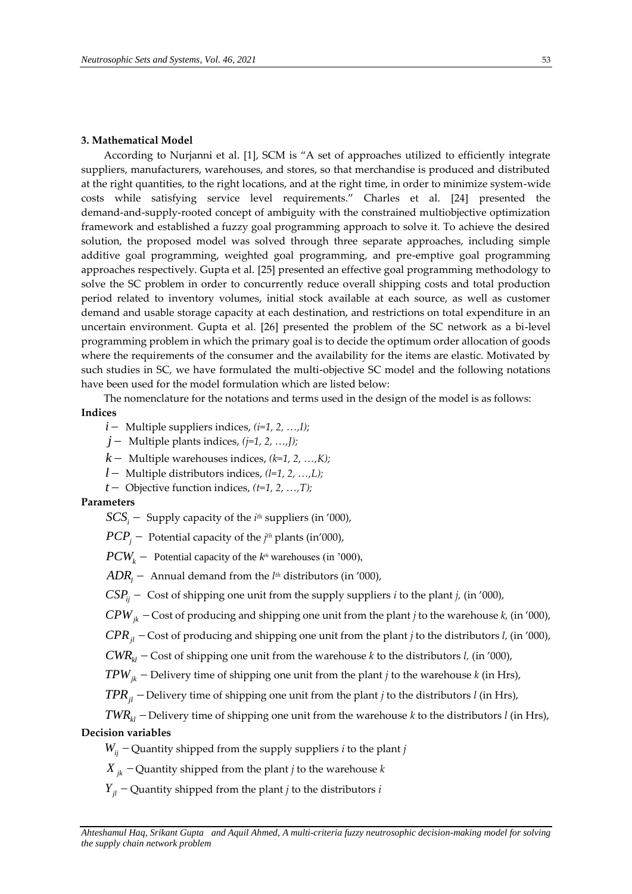### **3. Mathematical Model**

According to Nurjanni et al. [1], SCM is "A set of approaches utilized to efficiently integrate suppliers, manufacturers, warehouses, and stores, so that merchandise is produced and distributed at the right quantities, to the right locations, and at the right time, in order to minimize system-wide costs while satisfying service level requirements." Charles et al. [24] presented the demand-and-supply-rooted concept of ambiguity with the constrained multiobjective optimization framework and established a fuzzy goal programming approach to solve it. To achieve the desired solution, the proposed model was solved through three separate approaches, including simple additive goal programming, weighted goal programming, and pre-emptive goal programming approaches respectively. Gupta et al. [25] presented an effective goal programming methodology to solve the SC problem in order to concurrently reduce overall shipping costs and total production period related to inventory volumes, initial stock available at each source, as well as customer demand and usable storage capacity at each destination, and restrictions on total expenditure in an uncertain environment. Gupta et al. [26] presented the problem of the SC network as a bi-level programming problem in which the primary goal is to decide the optimum order allocation of goods where the requirements of the consumer and the availability for the items are elastic. Motivated by such studies in SC, we have formulated the multi-objective SC model and the following notations have been used for the model formulation which are listed below:

The nomenclature for the notations and terms used in the design of the model is as follows:

# **Indices**

- $i$  Multiple suppliers indices,  $(i=1, 2, ..., I)$ *;*
- $j$  Multiple plants indices,  $(j=1, 2, ..., J)$ ;
- $k-$  Multiple warehouses indices,  $(k=1, 2, ..., K)$ *;*
- *l*  $-$  Multiple distributors indices,  $(l=1, 2, ..., L)$ ;
- $t$  Objective function indices,  $(t=1, 2, ..., T)$ ;

## **Parameters**

- $SCS_i$  Supply capacity of the *i*<sup>th</sup> suppliers (in '000),
- $PCP_j -$  Potential capacity of the *j<sup>th</sup>* plants (in'000),
- $PCW_k$  Potential capacity of the  $k^{\text{th}}$  warehouses (in '000),
- $\overline{ADR}_l$  Annual demand from the *l<sup>th</sup>* distributors (in '000),
- $CSP<sub>ii</sub>$  Cost of shipping one unit from the supply suppliers *i* to the plant *j*, (in '000),
- $CPW_{ik}$  Cost of producing and shipping one unit from the plant *j* to the warehouse *k*, (in '000),
- $CPR_{jl}$  Cost of producing and shipping one unit from the plant *j* to the distributors *l,* (in '000),
- $CWR<sub>kl</sub> \text{Cost of shipping one unit from the warehouse } k \text{ to the distributions } l, \text{ (in '000)},$
- $TPW<sub>ik</sub>$  Delivery time of shipping one unit from the plant *j* to the warehouse *k* (in Hrs),
- $TPR<sub>ij</sub>$  Delivery time of shipping one unit from the plant *j* to the distributors *l* (in Hrs),

# $TWR<sub>kl</sub>$  - Delivery time of shipping one unit from the warehouse *k* to the distributors *l* (in Hrs), **Decision variables**

# $W_{ii}$  – Quantity shipped from the supply suppliers *i* to the plant *j*

- $X_{ik}$  Quantity shipped from the plant *j* to the warehouse *k*
- $Y_{il}$  Quantity shipped from the plant *j* to the distributors *i*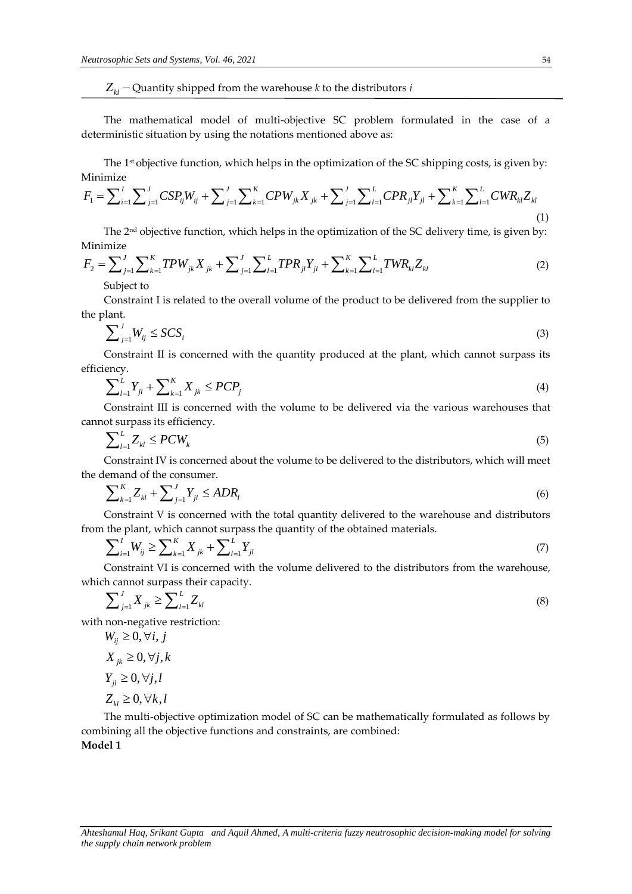The mathematical model of multi-objective SC problem formulated in the case of a deterministic situation by using the notations mentioned above as:

The 1<sup>st</sup> objective function, which helps in the optimization of the SC shipping costs, is given by:<br> *I*  $\sum_{i=1}^{N} \sum_{j=1}^{N} \sum_{j=1}^{N} \sum_{j=1}^{N} \sum_{j=1}^{N} \sum_{j=1}^{N} \sum_{j=1}^{N} \sum_{j=1}^{N} \sum_{j=1}^{N} \sum_{j=1}^{N} \sum_{j=1}^{N} \sum_{j$ Minimize

The mathematical model of multi-objective SC problem formulated in the case of a deterministic situation by using the notations mentioned above as:  
\nThe 1<sup>st</sup> objective function, which helps in the optimization of the SC shipping costs, is given by:  
\nMinimize  
\n
$$
F_1 = \sum_{i=1}^{I} \sum_{j=1}^{J} CSP_{ij}W_{ij} + \sum_{j=1}^{J} \sum_{k=1}^{K} CPW_{jk}X_{jk} + \sum_{j=1}^{J} \sum_{l=1}^{L}CPR_{jl}Y_{jl} + \sum_{k=1}^{K} \sum_{l=1}^{L}CWR_{kl}Z_{kl}
$$
\n(1)

The 2<sup>nd</sup> objective function, which helps in the optimization of the SC delivery time, is given by:<br> *mize*<br>  $\sum_{i}^{N} \sum_{j}^{K} T P W_{i} X_{j} + \sum_{j}^{J} \sum_{j}^{L} T P R_{j} Y_{j} + \sum_{j}^{K} \sum_{j}^{L} T W R_{j} Z_{j}$ Minimize

$$
Z_{ii}
$$
 – Quantity shipped from the warehouse *k* to the distributors *i*  
\nThe mathematical model of multipicative SC problem formulated in the case of a  
\ndeterministic situation by using the notations mentioned above as:  
\nThe 1<sup>a</sup> objective function, which helps in the optimization of the SC shipping costs, is given by:  
\nMinimize  
\n $F_1 = \sum_{i=1}^t \sum_{j=1}^t \sum_{j=1}^k \sum_{k=1}^k CPW_{jk}X_{jk} + \sum_{j=1}^t \sum_{l=1}^k \sum_{l=1}^k CPR_{jl}Y_{jl} + \sum_{k=1}^k \sum_{l=1}^k CFR_{kl}Z_{kl}$   
\nThe 2<sup>xd</sup> objective function, which helps in the optimization of the SC delivery time, is given by:  
\nMinimize  
\n $F_2 = \sum_{j=1}^t \sum_{k=1}^k TPW_{jk}X_{jk} + \sum_{j=1}^t \sum_{l=1}^k TPR_{jl}Y_{jl} + \sum_{k=1}^k \sum_{l=1}^l NPR_{jl}Z_{kl}$   
\nThe plant  
\n $\sum_{j=1}^l \sum_{k=1}^N TPW_{jk}X_{jk} + \sum_{j=1}^l \sum_{l=1}^k TPR_{jl}Y_{jl} + \sum_{k=1}^k \sum_{l=1}^l NPR_{jl}Z_{kl}$   
\n $\sum_{l=1}^l \sum_{j}^N PQ \leq CS$   
\n $\sum_{l=1}^l \sum_{j}^N PQ = SCV_l$   
\n $\sum_{l=1}^l \sum_{j}^N PQ = PCP_j$   
\n $\sum_{l=1}^l \sum_{j}^N PQ = PCP_j$   
\n $\sum_{l=1}^l \sum_{j}^N PQ = PCI$   
\n $\sum_{l=1}^l \sum_{j}^N PQ = CV_l$   
\n $\sum_{l=1}^l \sum_{j}^N PQ = CV_l$   
\n $\sum_{l=1}^l \sum_{j}^N PQ = CV_l$   
\n $\sum_{l=1}^l \sum_{j}^N PQ = CV_l$   
\n $\sum_{l=1}^l \sum_{j}^N PQ = CQI_l$   
\n $\sum_{l=1}^l \sum_{j$ 

Constraint I is related to the overall volume of the product to be delivered from the supplier to the plant.

$$
\sum_{j=1}^{J} W_{ij} \leq SCS_i \tag{3}
$$

Constraint II is concerned with the quantity produced at the plant, which cannot surpass its efficiency.

ency.  
\n
$$
\sum_{l=1}^{L} Y_{jl} + \sum_{k=1}^{K} X_{jk} \le PCP_j
$$
\n(4)

Constraint III is concerned with the volume to be delivered via the various warehouses that cannot surpass its efficiency.

$$
\sum_{l=1}^{L} Z_{kl} \le PCW_k \tag{5}
$$

Constraint IV is concerned about the volume to be delivered to the distributors, which will meet the demand of the consumer.

emand of the consumer.  
\n
$$
\sum_{k=1}^{K} Z_{kl} + \sum_{j=1}^{J} Y_{jl} \le ADR_l
$$
\n(6)

Constraint V is concerned with the total quantity delivered to the warehouse and distributors

from the plant, which cannot surpass the quantity of the obtained materials.  
\n
$$
\sum_{i=1}^{I} W_{ij} \ge \sum_{k=1}^{K} X_{jk} + \sum_{l=1}^{L} Y_{jl}
$$
\n(7)

Constraint VI is concerned with the volume delivered to the distributors from the warehouse, which cannot surpass their capacity.

$$
\sum_{j=1}^{J} X_{jk} \ge \sum_{l=1}^{L} Z_{kl} \tag{8}
$$

with non-negative restriction:

$$
W_{ij} \ge 0, \forall i, j
$$
  
\n
$$
X_{jk} \ge 0, \forall j, k
$$
  
\n
$$
Y_{jl} \ge 0, \forall j, l
$$
  
\n
$$
Z_{kl} \ge 0, \forall k, l
$$

The multi-objective optimization model of SC can be mathematically formulated as follows by combining all the objective functions and constraints, are combined: **Model 1**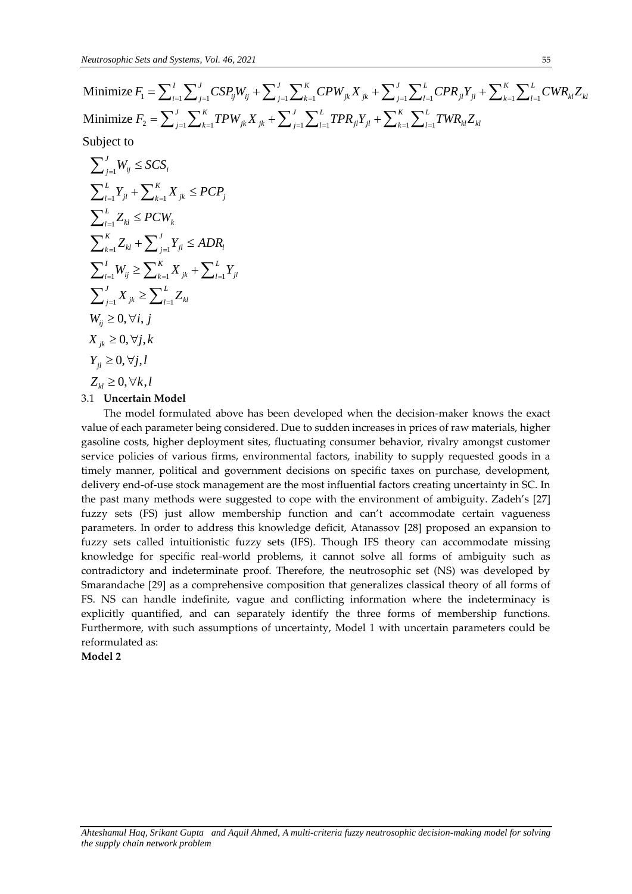**Neutrosophic Sets and Systems, Vol. 46, 2021**

\n**Minimize** 
$$
F_1 = \sum_{i=1}^{I} \sum_{j=1}^{J} CSP_{ij}W_{ij} + \sum_{j=1}^{J} \sum_{k=1}^{K} CPW_{jk}X_{jk} + \sum_{j=1}^{J} \sum_{l=1}^{L}CPR_{jl}Y_{jl} + \sum_{k=1}^{K} \sum_{l=1}^{L}CWR_{kl}Z_{kl}
$$

\n**Minimize**  $F_2 = \sum_{j=1}^{J} \sum_{k=1}^{K}TPW_{jk}X_{jk} + \sum_{j=1}^{J} \sum_{l=1}^{L}TPR_{jl}Y_{jl} + \sum_{k=1}^{K} \sum_{l=1}^{L}TWR_{kl}Z_{kl}$ 

\n**Subject to**

\n
$$
\sum_{j=1}^{J} W_{ij} \leq SCS_i
$$

\n
$$
= \sum_{j=1}^{L} W_{ij} = K
$$

Subject to

minimize 
$$
Y_1 = \sum_{i=1}^{i} \sum_{j=1}^{i} \sum_{j=1}^{i} \sum_{j=1}^{i} \sum_{k=1}^{i} \sum_{k=1}^{i} \sum_{k=1}^{i} \sum_{k=1}^{i} \sum_{k=1}^{i} \sum_{k=1}^{i} \sum_{k=1}^{i} \sum_{k=1}^{i} \sum_{k=1}^{i} \sum_{k=1}^{i} \sum_{k=1}^{i} \sum_{k=1}^{i} \sum_{k=1}^{i} \sum_{k=1}^{i} \sum_{k=1}^{i} \sum_{k=1}^{i} \sum_{k=1}^{i} \sum_{k=1}^{i} \sum_{k=1}^{i} \sum_{k=1}^{i} \sum_{k=1}^{i} \sum_{k=1}^{i} \sum_{k=1}^{i} \sum_{k=1}^{i} \sum_{k=1}^{i} \sum_{k=1}^{i} \sum_{k=1}^{i} \sum_{k=1}^{i} \sum_{k=1}^{i} \sum_{k=1}^{i} \sum_{k=1}^{i} \sum_{k=1}^{i} \sum_{k=1}^{i} \sum_{k=1}^{i} \sum_{k=1}^{i} \sum_{k=1}^{i} \sum_{k=1}^{i} \sum_{k=1}^{i} \sum_{k=1}^{i} \sum_{k=1}^{i} \sum_{k=1}^{i} \sum_{k=1}^{i} \sum_{k=1}^{i} \sum_{k=1}^{i} \sum_{k=1}^{i} \sum_{k=1}^{i} \sum_{k=1}^{i} \sum_{k=1}^{i} \sum_{k=1}^{i} \sum_{k=1}^{i} \sum_{k=1}^{i} \sum_{k=1}^{i} \sum_{k=1}^{i} \sum_{k=1}^{i} \sum_{k=1}^{i} \sum_{k=1}^{i} \sum_{k=1}^{i} \sum_{k=1}^{i} \sum_{k=1}^{i} \sum_{k=1}^{i} \sum_{k=1}^{i} \sum_{k=1}^{i} \sum_{k=1}^{i} \sum_{k=1}^{i} \sum_{k=1}^{i} \sum_{k=1}^{i} \sum_{k=1}^{i} \sum_{k=1}^{i} \sum_{k=1}^{i} \sum_{k=1}^{i} \sum_{k=1}^{i} \sum_{k=
$$

The model formulated above has been developed when the decision-maker knows the exact value of each parameter being considered. Due to sudden increases in prices of raw materials, higher gasoline costs, higher deployment sites, fluctuating consumer behavior, rivalry amongst customer service policies of various firms, environmental factors, inability to supply requested goods in a timely manner, political and government decisions on specific taxes on purchase, development, delivery end-of-use stock management are the most influential factors creating uncertainty in SC. In the past many methods were suggested to cope with the environment of ambiguity. Zadeh's [27] fuzzy sets (FS) just allow membership function and can't accommodate certain vagueness parameters. In order to address this knowledge deficit, Atanassov [28] proposed an expansion to fuzzy sets called intuitionistic fuzzy sets (IFS). Though IFS theory can accommodate missing knowledge for specific real-world problems, it cannot solve all forms of ambiguity such as contradictory and indeterminate proof. Therefore, the neutrosophic set (NS) was developed by Smarandache [29] as a comprehensive composition that generalizes classical theory of all forms of FS. NS can handle indefinite, vague and conflicting information where the indeterminacy is explicitly quantified, and can separately identify the three forms of membership functions. Furthermore, with such assumptions of uncertainty, Model 1 with uncertain parameters could be reformulated as:

# **Model 2**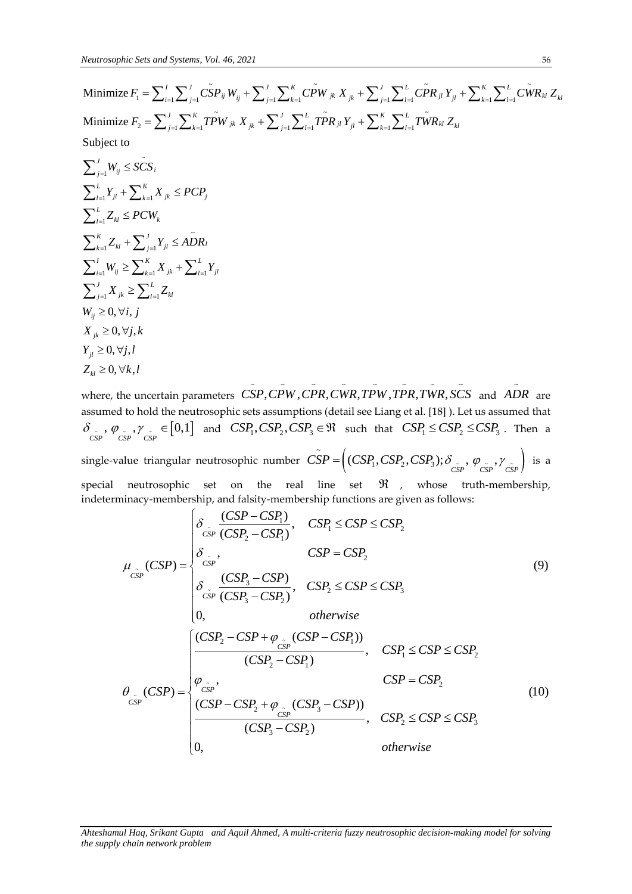$$
= -\frac{1}{2} + \frac{1}{2} + \frac{1}{2} + \frac{1}{2} + \frac{1}{2} + \frac{1}{2} + \frac{1}{2} + \frac{1}{2} + \frac{1}{2} + \frac{1}{2} + \frac{1}{2} + \frac{1}{2} + \frac{1}{2} + \frac{1}{2} + \frac{1}{2} + \frac{1}{2} + \frac{1}{2} + \frac{1}{2} + \frac{1}{2} + \frac{1}{2} + \frac{1}{2} + \frac{1}{2} + \frac{1}{2} + \frac{1}{2} + \frac{1}{2} + \frac{1}{2} + \frac{1}{2} + \frac{1}{2} + \frac{1}{2} + \frac{1}{2} + \frac{1}{2} + \frac{1}{2} + \frac{1}{2} + \frac{1}{2} + \frac{1}{2} + \frac{1}{2} + \frac{1}{2} + \frac{1}{2} + \frac{1}{2} + \frac{1}{2} + \frac{1}{2} + \frac{1}{2} + \frac{1}{2} + \frac{1}{2} + \frac{1}{2} + \frac{1}{2} + \frac{1}{2} + \frac{1}{2} + \frac{1}{2} + \frac{1}{2} + \frac{1}{2} + \frac{1}{2} + \frac{1}{2} + \frac{1}{2} + \frac{1}{2} + \frac{1}{2} + \frac{1}{2} + \frac{1}{2} + \frac{1}{2} + \frac{1}{2} + \frac{1}{2} + \frac{1}{2} + \frac{1}{2} + \frac{1}{2} + \frac{1}{2} + \frac{1}{2} + \frac{1}{2} + \frac{1}{2} + \frac{1}{2} + \frac{1}{2} + \frac{1}{2} + \frac{1}{2} + \frac{1}{2} + \frac{1}{2} + \frac{1}{2} + \frac{1}{2} + \frac{1}{2} + \frac{1}{2} + \frac{1}{2} + \frac{1}{2} + \frac{1}{2} + \frac{1}{2} + \frac{1}{2} + \frac{1}{2} + \frac{1}{2} + \frac{1}{2} + \frac{1}{2} + \frac{1}{2} + \frac{1}{2} + \frac{1}{2} + \frac{1}{2} + \frac{1}{2} + \frac{1}{2} + \frac{1}{2} + \frac{1}{
$$

where, the uncertain parameters  $\r{CSP, CPW, \tilde{CPR}, \tilde{CWR}, \tilde{TPW}, \tilde{TPR}, \tilde{TWR}, \tilde{SCS}}$  and ~ *ADR* are assumed to hold the neutrosophic sets assumptions (detail see Liang et al. [18] ). Let us assumed that  $\delta_{\substack{cSP \ cSP}}$ ,  $\gamma_{\substack{cSP \ cSP}}$  = [0,1] and  $CSP_1, CSP_2, CSP_3 \in \mathbb{R}$  such that  $CSP_1 \leq CSP_2 \leq CSP_3$ . Then a single-value triangular neutrosophic number  $\widetilde{CSP} = \Big((CSP_1, CSP_2, CSP_3); \delta_{\widetilde{CSP}}, \varphi_{\widetilde{CSP}}, \gamma_{\widetilde{CSP}}\Big)$ 

osophic number  $\tilde{CSP} = \left( (CSP_1, CSP_2, CSP_3); \delta_{\tilde{CSP}}, \varphi_{\tilde{CSP}}, \gamma_{\tilde{CSP}} \right)$  is a<br>
on the real line set  $\Re$ , whose truth-membership,<br> *CSP* – CSP<sub>1</sub>),  $CSP_1 \leq CSP \leq CSP_2$ <br>  $(\overline{CSP_2 - CSP_1}), \overline{CSP_1} \leq CSP \leq CSP_2$ special neutrosophic set on the real line set , whose truth-membership, set on the real line set  $\Re$ , whos<br>
rship, and falsity-membership functions are given as for<br>  $\begin{cases} \delta_{\substack{c \ \text{is} \ \text{resp}}} \frac{(CSP - CSP_1)}{(CSP_2 - CSP_1)}, & CSP_1 \leq CSP \leq CSP_2 \end{cases}$ 

special neutrosophic set on the real line set 
$$
\Re
$$
, whose truth-membreship,  
indeterminacy-membership, and falsity-membership functions are given as follows:  

$$
\mu_{\substack{c}_{\rm GP}}(CSP) = \begin{cases} \n\delta_{\substack{c,r \\ \text{CSP}}} \cdot (CSP - CSP_1), & CSP_1 \leq CSP \leq CSP_2 \\ \n\delta_{\substack{c,r \\ \text{CSP}}} \cdot (CSP_2 - CSP_1), & CSP_1 \leq CSP \leq CSP_2 \\ \n\delta_{\substack{c,r \\ \text{CSP}}} \cdot (CSP_2 - CSP_2), & CSP_1 \leq CSP \leq CSP_3 \\ \n0, & otherwise \n\end{cases} \tag{9}
$$
\n
$$
\mu_{\substack{c_{\rm SP} \\ \text{CSP}}} \cdot (CSP_2 - CSP + \varphi_{\substack{c_{\rm SP} \\ \text{CSP}}} \cdot (CSP - CSP_1))
$$
\n
$$
\mu_{\substack{c_{\rm SP} \\ \text{CSP}}} \cdot (CSP_2 - CSP_1) \cdot (CSP_2 - CSP_1) \cdot (CSP_2 - CSP_2) \cdot (CSP_2 - CSP_2) \cdot (CSP_2 - CSP_2) \cdot (CSP_2 - CSP_2) \cdot (CSP_3 - CSP_2) \cdot (CSP_3 - CSP_2) \cdot (CSP_3 - CSP_2) \cdot (CSP_3 - CSP_2) \cdot (CSP_3 - CSP_2) \cdot (CSP_3 - CSP_2) \cdot (CSP_3 - CSP_2) \cdot (CSP_3 - CSP_2) \cdot (CSP_3 - CSP_2) \cdot (CSP_3 - CSP_2) \cdot (CSP_3 - CSP_2) \cdot (CSP_3 - CSP_2) \cdot (CSP_3 - CSP_2) \cdot (CSP_3 - CSP_2) \cdot (CSP_3 - CSP_2) \cdot (CSP_3 - CSP_2) \cdot (CSP_3 - CSP_2) \cdot (CSP_3 - CSP_2) \cdot (CSP_3 - CSP_2) \cdot (CSP_3 - CSP_2) \cdot (CSP_3 - CSP_2) \cdot (CSP_3 - CSP_2) \cdot (CSP_3 - CSP_2) \cdot (CSP_3 - CSP_2) \cdot (CSP_3 - CSP_2) \cdot (CSP_3 - CSP_2) \cdot (CSP_3 - CSP
$$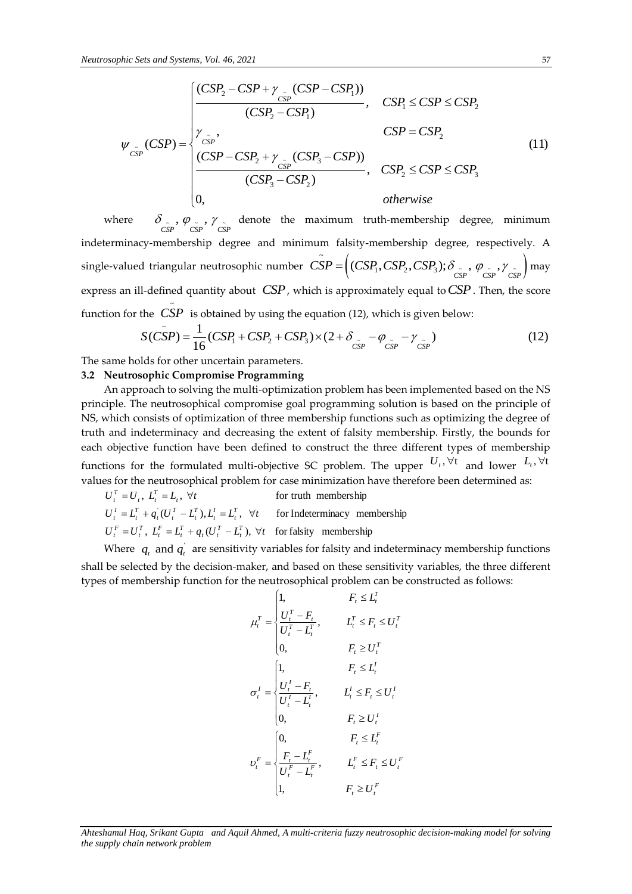*white Sets and Systems, Vol. 46, 2021*

\n
$$
\psi_{\tilde{CSP}}(CSP) = \begin{cases}\n\frac{(CSP_2 - CSP + \gamma_{\tilde{CSP}}(CSP - CSP_1))}{(CSP_2 - CSP_1)}, & CSP_1 \leq CSP \leq CSP_2 \\
\gamma_{\tilde{CSP}}, & CSP = CSP_2 \\
\frac{(CSP - CSP_2 + \gamma_{\tilde{CSP}}(CSP_3 - CSP))}{(CSP_3 - CSP_2)}, & CSP_2 \leq CSP \leq CSP_3 \\
0, & otherwise\n\end{cases}
$$
\n(11)

where  $\delta_{\substack{cSP \ cSP}}$ ,  $\varphi_{\substack{cSP \ cSP}}$ ,  $\gamma_{\substack{cSP \ cSP}}$  denote the maximum truth-membership degree, minimum indeterminacy-membership degree and minimum falsity-membership degree, respectively. A single-valued triangular neutrosophic number  $\tilde{CSP} = \Big((CSP_1, CSP_2, CSP_3); \delta_{\tilde{CSP}}, \varphi_{\tilde{CSP}}, \gamma_{\tilde{CSP}}\Big)$ Noting falsity-membership degree, respectively. A<br>  $\tilde{CSP} = \Big((CSP_1, CSP_2, CSP_3); \delta_{\tilde{CSP}}, \varphi_{\tilde{CSP}}, \gamma_{\tilde{CSP}}\Big)$  may express an ill-defined quantity about *CSP*, which is approximately equal to *CSP*. Then, the score function for the *CSP* is obtained by using the equation (12), which is given below:<br>  $S(\tilde{CSP}) = \frac{1}{16}(CSP_1 + CSP_2 + CSP_3) \times (2 + \delta_{\tilde{CSP}} - \varphi_{\tilde{CSP}} - \gamma_{\tilde{CSP}})$  (12)

$$
S(\tilde{CSP}) = \frac{1}{16}(CSP_1 + CSP_2 + CSP_3) \times (2 + \delta_{\tilde{CSP}} - \varphi_{\tilde{CSP}} - \gamma_{\tilde{CSP}})
$$
(12)

The same holds for other uncertain parameters.

### **3.2 Neutrosophic Compromise Programming**

An approach to solving the multi-optimization problem has been implemented based on the NS principle. The neutrosophical compromise goal programming solution is based on the principle of NS, which consists of optimization of three membership functions such as optimizing the degree of truth and indeterminacy and decreasing the extent of falsity membership. Firstly, the bounds for each objective function have been defined to construct the three different types of membership functions for the formulated multi-objective SC problem. The upper  $U_t$ ,  $\forall t$  and lower  $L_t$ ,  $\forall t$ values for the neutrosophical problem for case minimization have therefore been determined as:

 $U_t^F = U_t^T$ ,  $L_t^F = L_t^T + q_t(U_t^T - L_t^T)$ ,  $\forall t$  for falsity membership  $U_t^I = L_t^T + q_t(U_t^T - L_t^T), L_t^I = L_t^T$ ,  $\forall t$  for Indeterminacy membership for truth membership  $U_t^T = U_t$ ,  $L_t^T = L_t$ ,  $\forall t$ 

Where  $q_t$  and  $q_t$  are sensitivity variables for falsity and indeterminacy membership functions shall be selected by the decision-maker, and based on these sensitivity variables, the three different types of membership function for the neutrosophical problem can be constructed as follows:

$$
\mu_t^T = \begin{cases}\n1, & F_t \le L_t^T \\
\frac{U_t^T - F_t}{U_t^T - L_t^T}, & L_t^T \le F_t \le U_t^T \\
0, & F_t \ge U_t^T\n\end{cases}
$$
\n
$$
\sigma_t^I = \begin{cases}\n1, & F_t \le L_t^I \\
\frac{U_t^I - F_t}{U_t^I - L_t^I}, & L_t^I \le F_t \le U_t^I \\
0, & F_t \ge U_t^I\n\end{cases}
$$
\n
$$
\nu_t^F = \begin{cases}\n0, & F_t \le L_t^F \\
\frac{F_t - L_t^F}{U_t^F - L_t^F}, & L_t^F \le F_t \le U_t^F \\
1, & F_t \ge U_t^F\n\end{cases}
$$

*Ahteshamul Haq, Srikant Gupta and Aquil Ahmed, A multi-criteria fuzzy neutrosophic decision-making model for solving the supply chain network problem*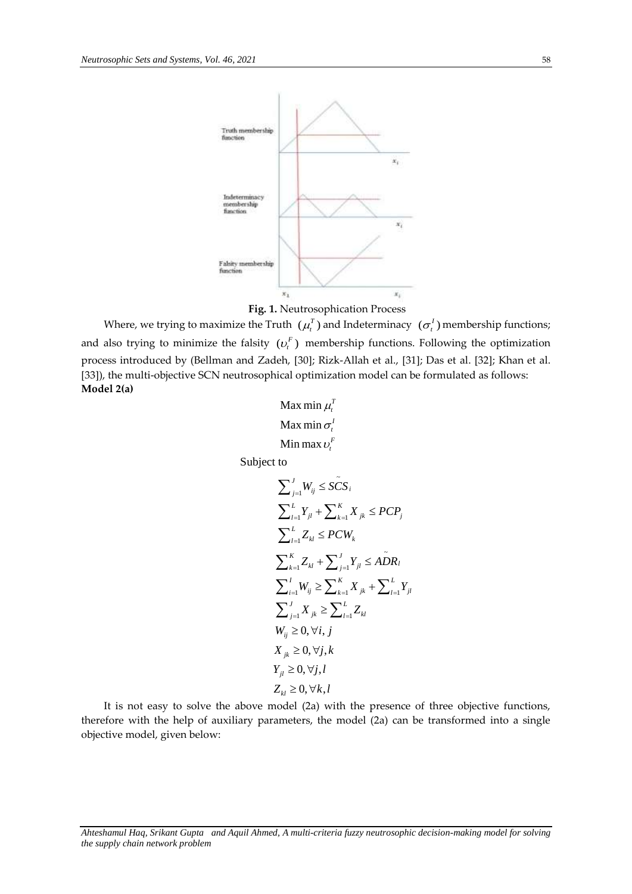



Where, we trying to maximize the Truth  $(\mu_i^T)$  and Indeterminacy  $(\sigma_i^I)$  membership functions; and also trying to minimize the falsity  $(v<sub>t</sub><sup>F</sup>)$  membership functions. Following the optimization process introduced by (Bellman and Zadeh, [30]; Rizk-Allah et al., [31]; Das et al. [32]; Khan et al. [33]), the multi-objective SCN neutrosophical optimization model can be formulated as follows: **Model 2(a)**

```
Max min
Max min
Min max
                           \mu_t^I\sigma_t^l\boldsymbol{v}_{\! \! \scriptscriptstyle t}^{\boldsymbol{F}}
```
Subject to

$$
\sum_{j=1}^{J} W_{ij} \leq \tilde{SCS}_{i}
$$
\n
$$
\sum_{l=1}^{L} Y_{jl} + \sum_{k=1}^{K} X_{jk} \leq PCP_{j}
$$
\n
$$
\sum_{l=1}^{L} Z_{kl} \leq PCW_{k}
$$
\n
$$
\sum_{k=1}^{K} Z_{kl} + \sum_{j=1}^{J} Y_{jl} \leq A\tilde{D}R_{l}
$$
\n
$$
\sum_{i=1}^{I} W_{ij} \geq \sum_{k=1}^{K} X_{jk} + \sum_{l=1}^{L} Y_{jl}
$$
\n
$$
\sum_{j=1}^{J} X_{jk} \geq \sum_{l=1}^{L} Z_{kl}
$$
\n
$$
W_{ij} \geq 0, \forall i, j
$$
\n
$$
X_{jk} \geq 0, \forall j, l
$$
\n
$$
Z_{kl} \geq 0, \forall k, l
$$

It is not easy to solve the above model (2a) with the presence of three objective functions, therefore with the help of auxiliary parameters, the model (2a) can be transformed into a single objective model, given below:

*Ahteshamul Haq, Srikant Gupta and Aquil Ahmed, A multi-criteria fuzzy neutrosophic decision-making model for solving the supply chain network problem*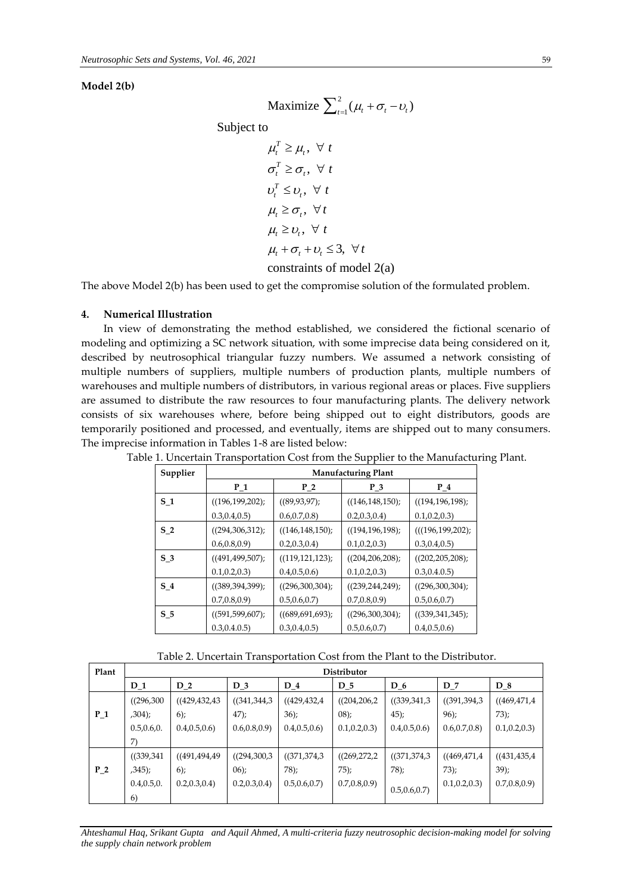**Model 2(b)**

$$
\text{Maximize } \sum_{t=1}^{2} (\mu_t + \sigma_t - v_t)
$$

Subject to

to  
\n
$$
\mu_t^T \ge \mu_t, \forall t
$$
\n
$$
\sigma_t^T \ge \sigma_t, \forall t
$$
\n
$$
\nu_t^T \le \nu_t, \forall t
$$
\n
$$
\mu_t \ge \sigma_t, \forall t
$$
\n
$$
\mu_t \ge \nu_t, \forall t
$$
\n
$$
\mu_t + \sigma_t + \nu_t \le 3, \forall t
$$

## constraints of model 2(a)

The above Model 2(b) has been used to get the compromise solution of the formulated problem.

### **4. Numerical Illustration**

In view of demonstrating the method established, we considered the fictional scenario of modeling and optimizing a SC network situation, with some imprecise data being considered on it, described by neutrosophical triangular fuzzy numbers. We assumed a network consisting of multiple numbers of suppliers, multiple numbers of production plants, multiple numbers of warehouses and multiple numbers of distributors, in various regional areas or places. Five suppliers are assumed to distribute the raw resources to four manufacturing plants. The delivery network consists of six warehouses where, before being shipped out to eight distributors, goods are temporarily positioned and processed, and eventually, items are shipped out to many consumers. The imprecise information in Tables 1-8 are listed below:

| Supplier       | <b>Manufacturing Plant</b> |                       |                   |                    |  |  |  |
|----------------|----------------------------|-----------------------|-------------------|--------------------|--|--|--|
|                | $P_1$                      | $P_2$                 | $P_3$             | $P_4$              |  |  |  |
| S <sub>1</sub> | ((196, 199, 202))          | ((89, 93, 97);        | ((146, 148, 150)) | ((194, 196, 198))  |  |  |  |
|                | 0.3, 0.4, 0.5)             | 0.6, 0.7, 0.8         | 0.2, 0.3, 0.4     | 0.1, 0.2, 0.3      |  |  |  |
| S <sub>2</sub> | ((294,306,312))            | $((146, 148, 150))$ ; | ((194, 196, 198)) | (((196, 199, 202)) |  |  |  |
|                | 0.6, 0.8, 0.9              | 0.2, 0.3, 0.4         | 0.1, 0.2, 0.3     | 0.3, 0.4, 0.5)     |  |  |  |
| S <sub>3</sub> | ((491, 499, 507);          | ((119, 121, 123))     | ((204, 206, 208)) | ((202, 205, 208))  |  |  |  |
|                | 0.1, 0.2, 0.3              | 0.4, 0.5, 0.6         | 0.1, 0.2, 0.3     | 0.3, 0.4.0.5)      |  |  |  |
| S <sub>4</sub> | ((389, 394, 399))          | ((296,300,304))       | ((239, 244, 249)) | ((296,300,304))    |  |  |  |
|                | 0.7, 0.8, 0.9              | 0.5, 0.6, 0.7         | 0.7, 0.8, 0.9     | 0.5, 0.6, 0.7      |  |  |  |
| S 5            | ((591, 599, 607);          | ((689, 691, 693))     | ((296,300,304))   | ((339,341,345))    |  |  |  |
|                | 0.3, 0.4.0.5)              | 0.3, 0.4, 0.5)        | 0.5, 0.6, 0.7     | 0.4, 0.5, 0.6      |  |  |  |

Table 1. Uncertain Transportation Cost from the Supplier to the Manufacturing Plant.

Table 2. Uncertain Transportation Cost from the Plant to the Distributor.

| Plant |               | Distributor     |               |                |                |                |                |                |
|-------|---------------|-----------------|---------------|----------------|----------------|----------------|----------------|----------------|
|       | $D_1$         | $D_2$           | $D_3$         | $D_4$          | D <sub>5</sub> | $D_6$          | $D_7$          | $D_8$          |
|       | ((296,300)    | ((429, 432, 43) | (341, 344, 3) | ((429,432,4)   | ((204, 206, 2  | (339,341,3)    | ((391, 394, 3) | ((469, 471, 4) |
| $P_1$ | ,304);        | 6);             | $47$ ;        | 36);           | (08);          | 45;            | 96;            | 73);           |
|       | 0.5, 0.6, 0.  | 0.4, 0.5, 0.6   | 0.6, 0.8, 0.9 | 0.4, 0.5, 0.6  | 0.1, 0.2, 0.3  | 0.4, 0.5, 0.6  | 0.6, 0.7, 0.8  | 0.1, 0.2, 0.3  |
|       | $\mathcal{L}$ |                 |               |                |                |                |                |                |
|       | (339,341)     | ((491, 494, 49) | ((294,300,3   | ((371, 374, 3) | ((269, 272, 2  | ((371, 374, 3) | ((469, 471, 4) | (431, 435, 4)  |
| $P_2$ | ,345);        | 6);             | $06$ :        | $78$ :         | $75$ :         | 78;            | 73);           | $39$ ;         |
|       | 0.4, 0.5, 0.  | 0.2, 0.3, 0.4   | 0.2, 0.3, 0.4 | 0.5, 0.6, 0.7  | 0.7, 0.8, 0.9  | 0.5, 0.6, 0.7  | 0.1, 0.2, 0.3  | 0.7, 0.8, 0.9  |
|       | 6)            |                 |               |                |                |                |                |                |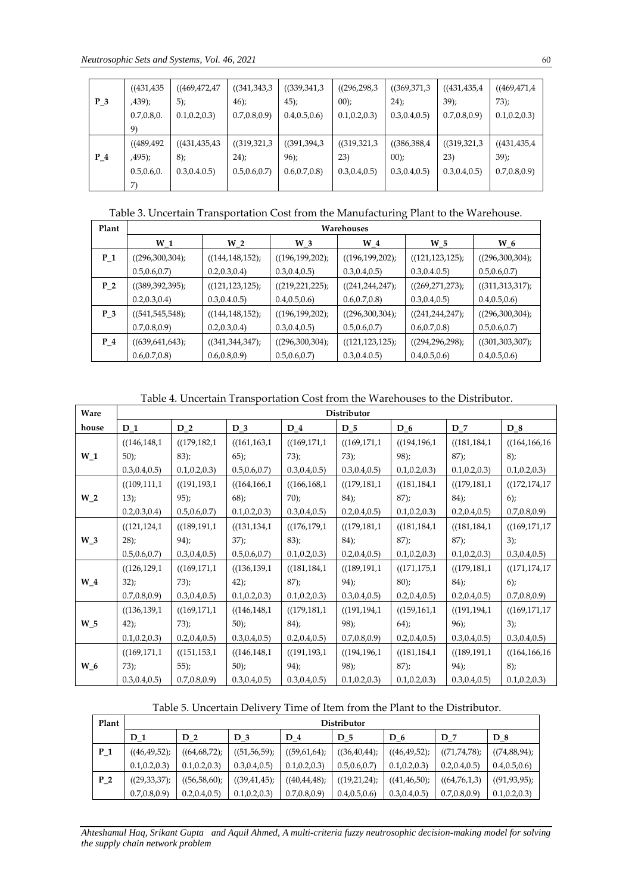$\mathbf{r}$ 

|       | ((431, 435)   | ((469, 472, 47) | (341, 343, 3) | (339,341,3)    | ((296, 298, 3  | (369,371,3     | ((431, 435, 4) | ((469, 471, 4) |
|-------|---------------|-----------------|---------------|----------------|----------------|----------------|----------------|----------------|
| $P_3$ | ,439);        | $5)$ ;          | $46$ :        | $45$ :         | $00$ :         | 24);           | 39;            | $73$ :         |
|       | 0.7, 0.8, 0.  | 0.1, 0.2, 0.3   | 0.7, 0.8, 0.9 | 0.4, 0.5, 0.6  | 0.1, 0.2, 0.3  | 0.3, 0.4, 0.5) | 0.7, 0.8, 0.9  | 0.1, 0.2, 0.3  |
|       | 9)            |                 |               |                |                |                |                |                |
|       | ((489, 492)   | ((431, 435, 43) | (319,321,3    | ((391, 394, 3) | (319,321,3     | (386,388,4)    | ((319, 321, 3  | (431, 435, 4)  |
| $P_4$ | ,495);        | 8);             | 24);          | $96$ :         | 23)            | $00$ :         | 23)            | 39;            |
|       | 0.5, 0.6, 0.  | 0.3, 0.4.0.5)   | 0.5, 0.6, 0.7 | 0.6, 0.7, 0.8  | 0.3, 0.4, 0.5) | 0.3, 0.4, 0.5) | 0.3, 0.4, 0.5) | 0.7, 0.8, 0.9  |
|       | $\mathcal{L}$ |                 |               |                |                |                |                |                |

Table 3. Uncertain Transportation Cost from the Manufacturing Plant to the Warehouse.

| Plant          |                   | Warehouses            |                   |                   |                   |                     |  |  |  |
|----------------|-------------------|-----------------------|-------------------|-------------------|-------------------|---------------------|--|--|--|
|                | $W_1$             | $W_2$                 | $W_3$             | $W_4$             | W 5               | $W_6$               |  |  |  |
| $P_1$          | ((296,300,304))   | $((144, 148, 152))$ ; | ((196, 199, 202)) | ((196, 199, 202)) | ((121, 123, 125)) | ((296,300,304))     |  |  |  |
|                | 0.5, 0.6, 0.7     | 0.2, 0.3, 0.4         | 0.3, 0.4, 0.5)    | 0.3, 0.4, 0.5)    | 0.3, 0.4.0.5)     | 0.5, 0.6, 0.7       |  |  |  |
| P <sub>2</sub> | ((389, 392, 395)) | ((121, 123, 125))     | ((219, 221, 225)) | ((241, 244, 247)) | ((269, 271, 273)) | $((311,313,317))$ ; |  |  |  |
|                | 0.2, 0.3, 0.4     | 0.3, 0.4.0.5)         | 0.4, 0.5, 0.6     | 0.6, 0.7, 0.8     | 0.3, 0.4, 0.5)    | 0.4, 0.5, 0.6       |  |  |  |
| $P_3$          | ((541, 545, 548)) | $((144, 148, 152))$ ; | ((196, 199, 202)) | ((296,300,304))   | ((241, 244, 247)) | ((296,300,304))     |  |  |  |
|                | 0.7, 0.8, 0.9     | 0.2, 0.3, 0.4         | 0.3, 0.4, 0.5)    | 0.5, 0.6, 0.7     | 0.6, 0.7, 0.8     | 0.5, 0.6, 0.7       |  |  |  |
| $P_4$          | ((639, 641, 643)) | ((341, 344, 347))     | ((296,300,304))   | ((121, 123, 125)) | ((294, 296, 298)) | ((301, 303, 307))   |  |  |  |
|                | 0.6, 0.7, 0.8     | 0.6, 0.8, 0.9         | 0.5, 0.6, 0.7     | 0.3, 0.4.0.5)     | 0.4, 0.5, 0.6     | 0.4, 0.5, 0.6       |  |  |  |

Table 4. Uncertain Transportation Cost from the Warehouses to the Distributor.

| Ware  |                | Distributor    |                |                |                |                |                |                |  |
|-------|----------------|----------------|----------------|----------------|----------------|----------------|----------------|----------------|--|
| house | $D_1$          | $D_2$          | $D_3$          | $D_4$          | $D_5$          | $D_6$          | $D_7$          | $D_8$          |  |
|       | ((146, 148, 1  | (179, 182, 1   | ((161, 163, 1  | ((169, 171, 1  | ((169, 171, 1  | ((194, 196, 1  | ((181, 184, 1  | ((164, 166, 16 |  |
| $W_1$ | $50$ ;         | 83);           | $65$ );        | 73);           | 73);           | 98;            | 87;            | 8);            |  |
|       | 0.3, 0.4, 0.5) | 0.1, 0.2, 0.3  | 0.5, 0.6, 0.7  | 0.3, 0.4, 0.5) | 0.3, 0.4, 0.5) | 0.1, 0.2, 0.3  | 0.1, 0.2, 0.3) | 0.1, 0.2, 0.3  |  |
|       | ((109, 111, 1  | ((191, 193, 1  | ((164, 166, 1  | ((166, 168, 1  | (179, 181, 1   | ((181, 184, 1  | (179, 181, 1)  | ((172, 174, 17 |  |
| $W_2$ | 13);           | 95;            | $68$ ;         | 70;            | 84);           | 87;            | 84);           | 6)             |  |
|       | 0.2, 0.3, 0.4  | 0.5, 0.6, 0.7  | 0.1, 0.2, 0.3  | 0.3, 0.4, 0.5) | 0.2, 0.4, 0.5) | 0.1, 0.2, 0.3  | 0.2, 0.4, 0.5) | 0.7, 0.8, 0.9  |  |
|       | ((121, 124, 1  | ((189, 191, 1  | ((131, 134, 1  | ((176, 179, 1  | (179, 181, 1)  | ((181, 184, 1  | ((181, 184, 1  | ((169, 171, 17 |  |
| $W_3$ | 28;            | $94$ ;         | 37);           | 83);           | 84);           | 87);           | 87;            | $3)$ ;         |  |
|       | 0.5, 0.6, 0.7  | 0.3, 0.4, 0.5) | 0.5, 0.6, 0.7  | 0.1, 0.2, 0.3  | 0.2, 0.4, 0.5) | 0.1, 0.2, 0.3  | 0.1, 0.2, 0.3  | 0.3, 0.4, 0.5) |  |
|       | ((126, 129, 1  | ((169, 171, 1  | ((136, 139, 1  | ((181, 184, 1  | ((189, 191, 1  | ((171, 175, 1  | (179, 181, 1)  | ((171, 174, 17 |  |
| $W_4$ | 32);           | 73);           | 42);           | $(87)$ ;       | 94);           | 80;            | 84);           | $6)$ ;         |  |
|       | 0.7, 0.8, 0.9  | 0.3, 0.4, 0.5) | 0.1, 0.2, 0.3  | 0.1, 0.2, 0.3  | 0.3, 0.4, 0.5) | 0.2, 0.4, 0.5) | 0.2, 0.4, 0.5) | 0.7, 0.8, 0.9  |  |
|       | ((136, 139, 1  | ((169, 171, 1  | ((146, 148, 1  | ((179, 181, 1  | ((191, 194, 1  | ((159, 161, 1  | ((191, 194, 1  | ((169, 171, 17 |  |
| $W_5$ | $42$ :         | 73);           | $50$ ;         | 84;            | 98;            | $64$ ;         | 96;            | $3)$ ;         |  |
|       | 0.1, 0.2, 0.3  | 0.2, 0.4, 0.5) | 0.3, 0.4, 0.5) | 0.2, 0.4, 0.5) | 0.7, 0.8, 0.9  | 0.2, 0.4, 0.5) | 0.3, 0.4, 0.5) | 0.3, 0.4, 0.5) |  |
|       | ((169, 171, 1  | (151, 153, 1)  | ((146, 148, 1  | ((191, 193, 1  | (194, 196, 1)  | ((181, 184, 1  | ((189, 191, 1  | ((164, 166, 16 |  |
| $W_6$ | 73);           | $55$ );        | 50);           | 94;            | 98;            | 87;            | 94;            | $8)$ ;         |  |
|       | 0.3, 0.4, 0.5) | 0.7, 0.8, 0.9  | 0.3, 0.4, 0.5) | 0.3, 0.4, 0.5) | 0.1, 0.2, 0.3  | 0.1, 0.2, 0.3  | 0.3, 0.4, 0.5) | 0.1, 0.2, 0.3  |  |

Table 5. Uncertain Delivery Time of Item from the Plant to the Distributor.

| Plant |                    | Distributor    |                |                |                |                |                |                |
|-------|--------------------|----------------|----------------|----------------|----------------|----------------|----------------|----------------|
|       | $D_1$              | D <sub>2</sub> | $D_3$          | D 4            | D <sub>5</sub> | $D_6$          | D <sub>7</sub> | D 8            |
| $P_1$ | $((46, 49, 52))$ ; | ((64, 68, 72); | ((51, 56, 59); | ((59,61,64);   | ((36, 40, 44)) | ((46, 49, 52)) | ((71,74,78))   | ((74, 88, 94); |
|       | 0.1, 0.2, 0.3      | 0.1, 0.2, 0.3  | 0.3, 0.4, 0.5) | 0.1, 0.2, 0.3  | 0.5, 0.6, 0.7  | 0.1, 0.2, 0.3  | 0.2, 0.4, 0.5) | 0.4, 0.5, 0.6  |
| $P_2$ | ((29, 33, 37);     | ((56, 58, 60); | ((39, 41, 45)) | ((40, 44, 48)) | ((19,21,24))   | ((41, 46, 50); | ((64,76,1,3))  | ((91, 93, 95); |
|       | 0.7, 0.8, 0.9      | 0.2, 0.4, 0.5  | 0.1, 0.2, 0.3  | 0.7, 0.8, 0.9  | 0.4, 0.5, 0.6  | 0.3, 0.4, 0.5) | 0.7, 0.8, 0.9  | 0.1, 0.2, 0.3  |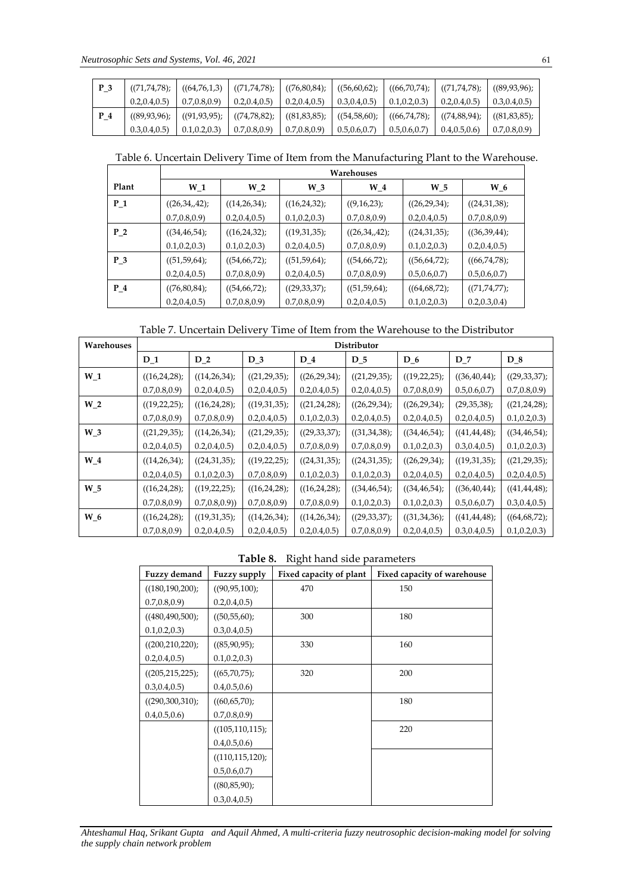| P <sub>3</sub> | $((71, 74, 78)$ ; |                                                                                                                         | $((64,76,1,3)$ $((71,74,78);$ $((76,80,84);$ |                |                |                               | $((56,60,62);$ $((66,70,74);$ $((71,74,78);$ $((89,93,96);$ |                     |
|----------------|-------------------|-------------------------------------------------------------------------------------------------------------------------|----------------------------------------------|----------------|----------------|-------------------------------|-------------------------------------------------------------|---------------------|
|                | 0.2, 0.4, 0.5)    | 0.7, 0.8, 0.9                                                                                                           | 0.2, 0.4, 0.5                                | 0.2, 0.4, 0.5) | 0.3, 0.4, 0.5) | $\vert 0.1, 0.2, 0.3 \rangle$ | 0.2, 0.4, 0.5)                                              | $\mid$ 0.3,0.4,0.5) |
| P 4            |                   | $((89,93,96))$ $((91,93,95))$ $((74,78,82))$ $((81,83,85))$ $((54,58,60))$ $((66,74,78))$ $((74,88,94))$ $((81,83,85))$ |                                              |                |                |                               |                                                             |                     |
|                | 0.3, 0.4, 0.5)    | 0.1, 0.2, 0.3                                                                                                           | 0.7, 0.8, 0.9                                | 0.7, 0.8, 0.9  | 0.5, 0.6, 0.7  | 0.5, 0.6, 0.7                 | 0.4, 0.5, 0.6                                               | 0.7, 0.8, 0.9       |

Table 6. Uncertain Delivery Time of Item from the Manufacturing Plant to the Warehouse.

|                |                | Warehouses       |                  |                |                  |                    |  |  |
|----------------|----------------|------------------|------------------|----------------|------------------|--------------------|--|--|
| Plant          | $W_1$          | W <sub>2</sub>   | $W_3$            | $W_4$          | $W_5$            | $W_6$              |  |  |
| $P_1$          | ((26,34,42))   | ((14,26,34))     | ((16,24,32))     | ((9,16,23);    | ((26,29,34);     | ((24,31,38))       |  |  |
|                | 0.7, 0.8, 0.9  | 0.2, 0.4, 0.5)   | 0.1, 0.2, 0.3    | 0.7, 0.8, 0.9  | 0.2, 0.4, 0.5)   | 0.7, 0.8, 0.9      |  |  |
| P <sub>2</sub> | ((34, 46, 54)) | $((16,24,32))$ ; | $((19,31,35))$ ; | ((26,34,42))   | $((24,31,35))$ ; | ((36,39,44);       |  |  |
|                | 0.1, 0.2, 0.3  | 0.1, 0.2, 0.3    | 0.2, 0.4, 0.5)   | 0.7, 0.8, 0.9  | 0.1, 0.2, 0.3    | 0.2, 0.4, 0.5)     |  |  |
| $P_3$          | ((51, 59, 64)) | ((54,66,72);     | ((51, 59, 64);   | ((54, 66, 72)) | ((56, 64, 72))   | ((66,74,78);       |  |  |
|                | 0.2, 0.4, 0.5) | 0.7, 0.8, 0.9    | 0.2, 0.4, 0.5)   | 0.7, 0.8, 0.9  | 0.5, 0.6, 0.7    | 0.5, 0.6, 0.7      |  |  |
| $P_4$          | ((76, 80, 84); | ((54, 66, 72))   | ((29, 33, 37);   | ((51, 59, 64)) | ((64, 68, 72);   | $((71, 74, 77))$ ; |  |  |
|                | 0.2, 0.4, 0.5) | 0.7, 0.8, 0.9    | 0.7, 0.8, 0.9    | 0.2, 0.4, 0.5) | 0.1, 0.2, 0.3    | 0.2, 0.3, 0.4      |  |  |

Table 7. Uncertain Delivery Time of Item from the Warehouse to the Distributor

| Warehouses |                    | Distributor      |                |                    |                    |                |                  |                |
|------------|--------------------|------------------|----------------|--------------------|--------------------|----------------|------------------|----------------|
|            | $D_1$              | $D_2$            | $D_3$          | $D_4$              | $D_5$              | $D_6$          | $D_7$            | $D_8$          |
| $W_1$      | ((16,24,28))       | ((14,26,34))     | ((21,29,35))   | ((26,29,34))       | $((21, 29, 35))$ ; | ((19, 22, 25)) | ((36, 40, 44))   | ((29, 33, 37); |
|            | 0.7, 0.8, 0.9      | 0.2, 0.4, 0.5)   | 0.2, 0.4, 0.5) | 0.2, 0.4, 0.5)     | 0.2, 0.4, 0.5)     | 0.7, 0.8, 0.9  | 0.5, 0.6, 0.7    | 0.7, 0.8, 0.9  |
| $W_2$      | $((19, 22, 25))$ ; | ((16,24,28))     | ((19,31,35))   | ((21,24,28))       | ((26,29,34))       | ((26, 29, 34)) | (29,35,38);      | ((21,24,28))   |
|            | 0.7, 0.8, 0.9      | 0.7, 0.8, 0.9    | 0.2, 0.4, 0.5) | 0.1, 0.2, 0.3      | 0.2, 0.4, 0.5)     | 0.2, 0.4, 0.5) | 0.2, 0.4, 0.5)   | 0.1, 0.2, 0.3  |
| $W_3$      | $((21, 29, 35))$ ; | ((14,26,34))     | ((21, 29, 35)) | $((29, 33, 37))$ ; | ((31,34,38))       | ((34, 46, 54)) | ((41, 44, 48))   | ((34, 46, 54)) |
|            | 0.2, 0.4, 0.5)     | 0.2, 0.4, 0.5)   | 0.2, 0.4, 0.5) | 0.7, 0.8, 0.9      | 0.7, 0.8, 0.9      | 0.1, 0.2, 0.3  | 0.3, 0.4, 0.5)   | 0.1, 0.2, 0.3  |
| $W_4$      | ((14,26,34))       | $((24,31,35))$ ; | ((19, 22, 25)) | ((24,31,35))       | $((24,31,35))$ ;   | ((26, 29, 34)) | $((19,31,35))$ ; | ((21, 29, 35)) |
|            | 0.2, 0.4, 0.5)     | 0.1, 0.2, 0.3    | 0.7, 0.8, 0.9  | 0.1, 0.2, 0.3      | 0.1, 0.2, 0.3      | 0.2, 0.4, 0.5) | 0.2, 0.4, 0.5)   | 0.2, 0.4, 0.5) |
| $W_5$      | ((16,24,28))       | ((19, 22, 25))   | ((16,24,28))   | ((16,24,28))       | ((34, 46, 54))     | ((34, 46, 54)) | ((36, 40, 44))   | ((41, 44, 48)) |
|            | 0.7, 0.8, 0.9      | (0.7, 0.8, 0.9)  | 0.7, 0.8, 0.9  | 0.7, 0.8, 0.9      | 0.1, 0.2, 0.3      | 0.1, 0.2, 0.3  | 0.5, 0.6, 0.7    | 0.3, 0.4, 0.5) |
| W 6        | ((16,24,28))       | ((19,31,35))     | ((14,26,34))   | ((14,26,34))       | $((29, 33, 37))$ ; | ((31, 34, 36)) | ((41, 44, 48))   | ((64, 68, 72)) |
|            | 0.7, 0.8, 0.9      | 0.2, 0.4, 0.5)   | 0.2, 0.4, 0.5) | 0.2, 0.4, 0.5)     | 0.7, 0.8, 0.9      | 0.2, 0.4, 0.5  | 0.3, 0.4, 0.5)   | 0.1, 0.2, 0.3  |

**Table 8.** Right hand side parameters

| <b>Fuzzy demand</b>   | Fuzzy supply          | Fixed capacity of plant | Fixed capacity of warehouse |
|-----------------------|-----------------------|-------------------------|-----------------------------|
| $((180, 190, 200))$ ; | ((90, 95, 100);       | 470                     | 150                         |
| 0.7, 0.8, 0.9         | 0.2, 0.4, 0.5         |                         |                             |
| ((480, 490, 500);     | ((50, 55, 60);        | 300                     | 180                         |
| 0.1, 0.2, 0.3         | 0.3, 0.4, 0.5)        |                         |                             |
| $((200, 210, 220))$ ; | ((85,90,95);          | 330                     | 160                         |
| 0.2, 0.4, 0.5)        | 0.1, 0.2, 0.3         |                         |                             |
| $((205, 215, 225))$ ; | ((65,70,75);          | 320                     | 200                         |
| 0.3, 0.4, 0.5)        | 0.4, 0.5, 0.6         |                         |                             |
| $((290,300,310))$ ;   | ((60, 65, 70);        |                         | 180                         |
| 0.4, 0.5, 0.6         | 0.7, 0.8, 0.9         |                         |                             |
|                       | $((105, 110, 115))$ ; |                         | 220                         |
|                       | 0.4, 0.5, 0.6         |                         |                             |
|                       | $((110, 115, 120))$ ; |                         |                             |
|                       | 0.5, 0.6, 0.7         |                         |                             |
|                       | ((80, 85, 90);        |                         |                             |
|                       | 0.3, 0.4, 0.5)        |                         |                             |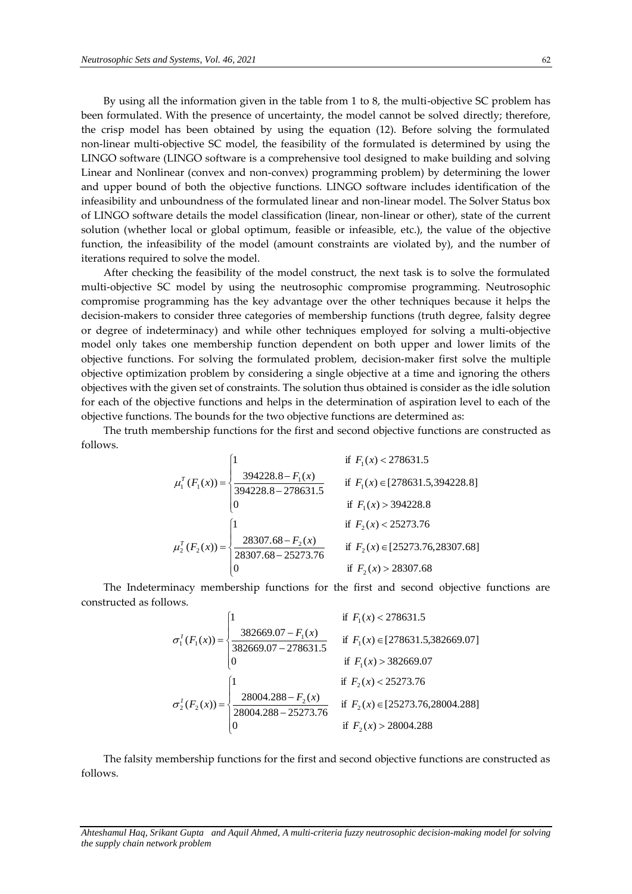By using all the information given in the table from 1 to 8, the multi-objective SC problem has been formulated. With the presence of uncertainty, the model cannot be solved directly; therefore, the crisp model has been obtained by using the equation (12). Before solving the formulated non-linear multi-objective SC model, the feasibility of the formulated is determined by using the LINGO software (LINGO software is a comprehensive tool designed to make building and solving Linear and Nonlinear (convex and non-convex) programming problem) by determining the lower and upper bound of both the objective functions. LINGO software includes identification of the infeasibility and unboundness of the formulated linear and non-linear model. The Solver Status box of LINGO software details the model classification (linear, non-linear or other), state of the current solution (whether local or global optimum, feasible or infeasible, etc.), the value of the objective function, the infeasibility of the model (amount constraints are violated by), and the number of iterations required to solve the model.

After checking the feasibility of the model construct, the next task is to solve the formulated multi-objective SC model by using the neutrosophic compromise programming. Neutrosophic compromise programming has the key advantage over the other techniques because it helps the decision-makers to consider three categories of membership functions (truth degree, falsity degree or degree of indeterminacy) and while other techniques employed for solving a multi-objective model only takes one membership function dependent on both upper and lower limits of the objective functions. For solving the formulated problem, decision-maker first solve the multiple objective optimization problem by considering a single objective at a time and ignoring the others objectives with the given set of constraints. The solution thus obtained is consider as the idle solution for each of the objective functions and helps in the determination of aspiration level to each of the objective functions. The bounds for the two objective functions are determined as:

The truth membership functions for the first and second objective functions are constructed as follows.

$$
\mu_1^T(F_1(x)) = \begin{cases}\n1 & \text{if } F_1(x) < 278631.5 \\
\frac{394228.8 - F_1(x)}{394228.8 - 278631.5} & \text{if } F_1(x) \in [278631.5, 394228.8] \\
0 & \text{if } F_1(x) > 394228.8\n\end{cases}
$$
\n
$$
\mu_2^T(F_2(x)) = \begin{cases}\n1 & \text{if } F_2(x) < 25273.76 \\
\frac{28307.68 - F_2(x)}{28307.68 - 25273.76} & \text{if } F_2(x) \in [25273.76, 28307.68] \\
0 & \text{if } F_2(x) > 28307.68\n\end{cases}
$$

The Indeterminacy membership functions for the first and second objective functions are constructed as follows.

$$
\sigma_1^I(F_1(x)) = \begin{cases}\n1 & \text{if } F_1(x) < 278631.5 \\
\frac{382669.07 - F_1(x)}{382669.07 - 278631.5} & \text{if } F_1(x) \in [278631.5,382669.07] \\
0 & \text{if } F_1(x) > 382669.07 \\
\frac{28004.288 - F_2(x)}{28004.288 - 25273.76} & \text{if } F_2(x) \in [25273.76,28004.288] \\
0 & \text{if } F_2(x) > 28004.288\n\end{cases}
$$

The falsity membership functions for the first and second objective functions are constructed as follows.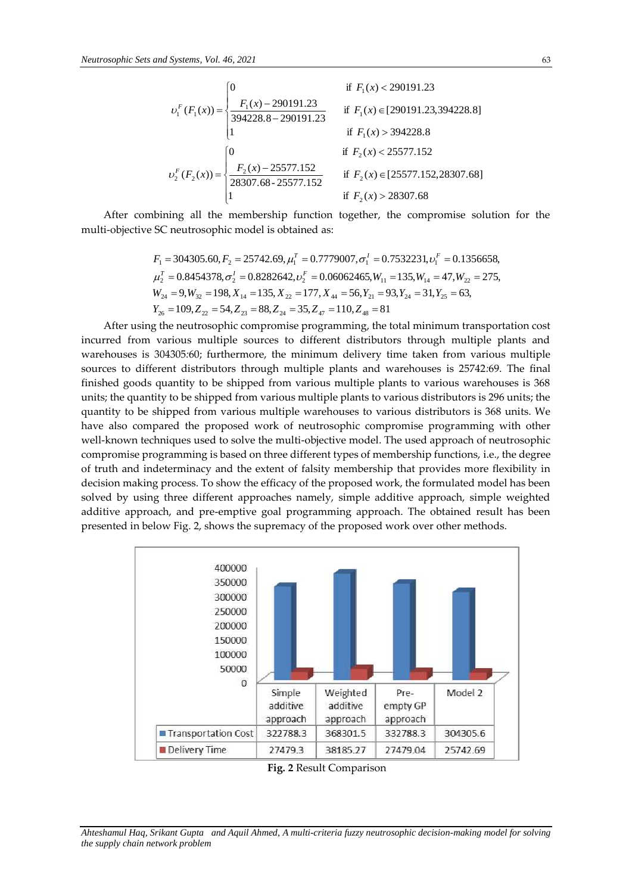$$
v_1^F(F_1(x)) = \begin{cases} 0 & \text{if } F_1(x) < 290191.23\\ \frac{F_1(x) - 290191.23}{394228.8 - 290191.23} & \text{if } F_1(x) \in [290191.23, 394228.8] \\ 1 & \text{if } F_1(x) > 394228.8 \end{cases}
$$

$$
v_2^F(F_2(x)) = \begin{cases} 0 & \text{if } F_2(x) < 25577.152\\ \frac{F_2(x) - 25577.152}{28307.68 - 25577.152} & \text{if } F_2(x) \in [25577.152, 28307.68] \\ 1 & \text{if } F_2(x) > 28307.68 \end{cases}
$$

After combining all the membership function together, the compromise solution for the multi-objective SC neutrosophic model is obtained as:

$$
F_1 = 304305.60, F_2 = 25742.69, \mu_1^T = 0.7779007, \sigma_1^T = 0.7532231, \nu_1^F = 0.1356658,
$$
  
\n
$$
\mu_2^T = 0.8454378, \sigma_2^T = 0.8282642, \nu_2^F = 0.06062465, W_{11} = 135, W_{14} = 47, W_{22} = 275,
$$
  
\n
$$
W_{24} = 9, W_{32} = 198, X_{14} = 135, X_{22} = 177, X_{44} = 56, Y_{21} = 93, Y_{24} = 31, Y_{25} = 63,
$$
  
\n
$$
Y_{26} = 109, Z_{22} = 54, Z_{23} = 88, Z_{24} = 35, Z_{47} = 110, Z_{48} = 81
$$

After using the neutrosophic compromise programming, the total minimum transportation cost incurred from various multiple sources to different distributors through multiple plants and warehouses is 304305*:*60; furthermore, the minimum delivery time taken from various multiple sources to different distributors through multiple plants and warehouses is 25742*:*69. The final finished goods quantity to be shipped from various multiple plants to various warehouses is 368 units; the quantity to be shipped from various multiple plants to various distributors is 296 units; the quantity to be shipped from various multiple warehouses to various distributors is 368 units. We have also compared the proposed work of neutrosophic compromise programming with other well-known techniques used to solve the multi-objective model. The used approach of neutrosophic compromise programming is based on three different types of membership functions, i.e., the degree of truth and indeterminacy and the extent of falsity membership that provides more flexibility in decision making process. To show the efficacy of the proposed work, the formulated model has been solved by using three different approaches namely, simple additive approach, simple weighted additive approach, and pre-emptive goal programming approach. The obtained result has been presented in below Fig. 2, shows the supremacy of the proposed work over other methods.



**Fig. 2** Result Comparison

*Ahteshamul Haq, Srikant Gupta and Aquil Ahmed, A multi-criteria fuzzy neutrosophic decision-making model for solving the supply chain network problem*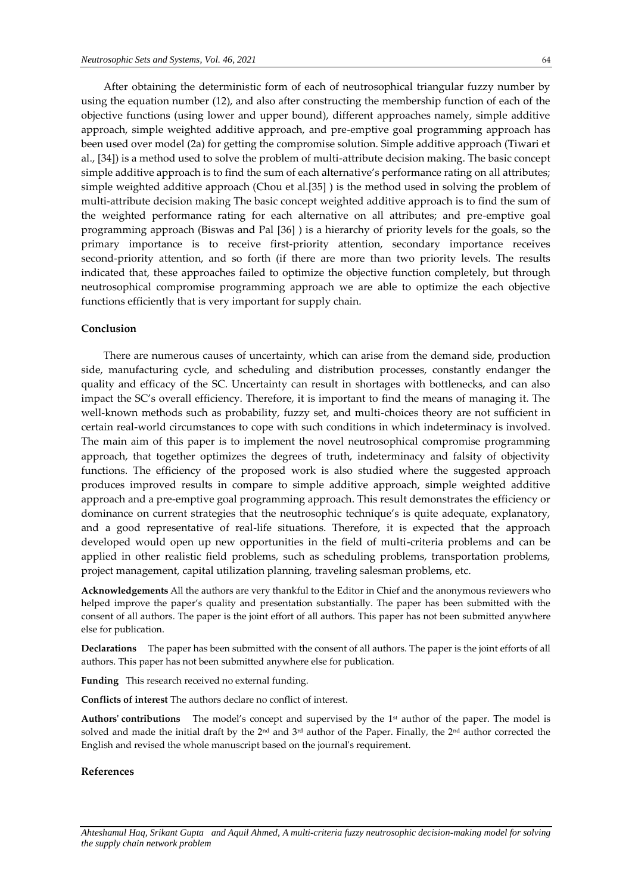After obtaining the deterministic form of each of neutrosophical triangular fuzzy number by using the equation number (12), and also after constructing the membership function of each of the objective functions (using lower and upper bound), different approaches namely, simple additive approach, simple weighted additive approach, and pre-emptive goal programming approach has been used over model (2a) for getting the compromise solution. Simple additive approach (Tiwari et al., [34]) is a method used to solve the problem of multi-attribute decision making. The basic concept simple additive approach is to find the sum of each alternative's performance rating on all attributes; simple weighted additive approach (Chou et al.[35] ) is the method used in solving the problem of multi-attribute decision making The basic concept weighted additive approach is to find the sum of the weighted performance rating for each alternative on all attributes; and pre-emptive goal programming approach (Biswas and Pal [36] ) is a hierarchy of priority levels for the goals, so the primary importance is to receive first-priority attention, secondary importance receives second-priority attention, and so forth (if there are more than two priority levels. The results indicated that, these approaches failed to optimize the objective function completely, but through neutrosophical compromise programming approach we are able to optimize the each objective functions efficiently that is very important for supply chain.

### **Conclusion**

There are numerous causes of uncertainty, which can arise from the demand side, production side, manufacturing cycle, and scheduling and distribution processes, constantly endanger the quality and efficacy of the SC. Uncertainty can result in shortages with bottlenecks, and can also impact the SC's overall efficiency. Therefore, it is important to find the means of managing it. The well-known methods such as probability, fuzzy set, and multi-choices theory are not sufficient in certain real-world circumstances to cope with such conditions in which indeterminacy is involved. The main aim of this paper is to implement the novel neutrosophical compromise programming approach, that together optimizes the degrees of truth, indeterminacy and falsity of objectivity functions. The efficiency of the proposed work is also studied where the suggested approach produces improved results in compare to simple additive approach, simple weighted additive approach and a pre-emptive goal programming approach. This result demonstrates the efficiency or dominance on current strategies that the neutrosophic technique's is quite adequate, explanatory, and a good representative of real-life situations. Therefore, it is expected that the approach developed would open up new opportunities in the field of multi-criteria problems and can be applied in other realistic field problems, such as scheduling problems, transportation problems, project management, capital utilization planning, traveling salesman problems, etc.

**Acknowledgements** All the authors are very thankful to the Editor in Chief and the anonymous reviewers who helped improve the paper's quality and presentation substantially. The paper has been submitted with the consent of all authors. The paper is the joint effort of all authors. This paper has not been submitted anywhere else for publication.

**Declarations** The paper has been submitted with the consent of all authors. The paper is the joint efforts of all authors. This paper has not been submitted anywhere else for publication.

**Funding** This research received no external funding.

**Conflicts of interest** The authors declare no conflict of interest.

**Authors' contributions** The model's concept and supervised by the 1st author of the paper. The model is solved and made the initial draft by the 2<sup>nd</sup> and 3<sup>rd</sup> author of the Paper. Finally, the 2<sup>nd</sup> author corrected the English and revised the whole manuscript based on the journal's requirement.

### **References**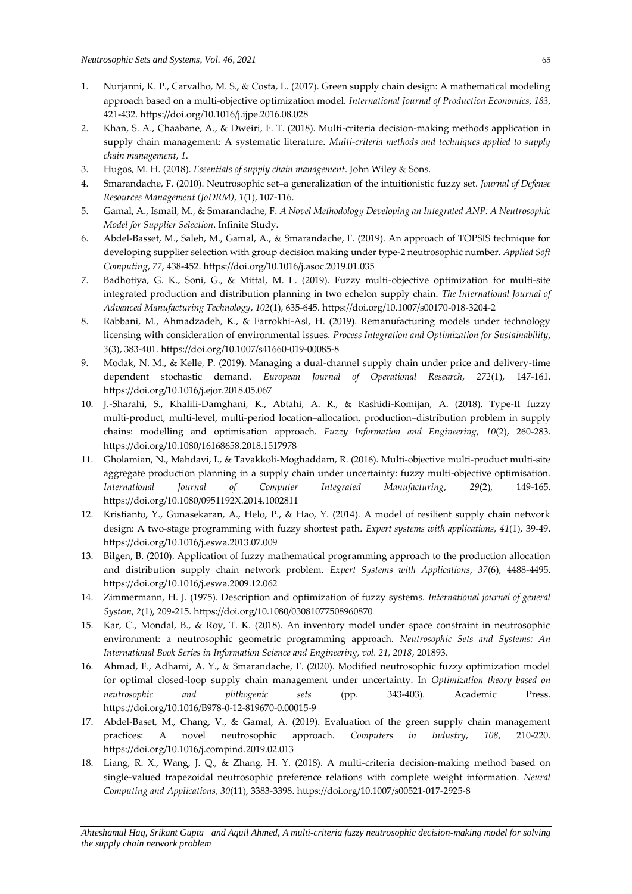- 1. Nurjanni, K. P., Carvalho, M. S., & Costa, L. (2017). Green supply chain design: A mathematical modeling approach based on a multi-objective optimization model. *International Journal of Production Economics*, *183*, 421-432. <https://doi.org/10.1016/j.ijpe.2016.08.028>
- 2. Khan, S. A., Chaabane, A., & Dweiri, F. T. (2018). Multi-criteria decision-making methods application in supply chain management: A systematic literature. *Multi-criteria methods and techniques applied to supply chain management*, *1*.
- 3. Hugos, M. H. (2018). *Essentials of supply chain management*. John Wiley & Sons.
- 4. Smarandache, F. (2010). Neutrosophic set–a generalization of the intuitionistic fuzzy set. *Journal of Defense Resources Management (JoDRM)*, *1*(1), 107-116.
- 5. Gamal, A., Ismail, M., & Smarandache, F. *A Novel Methodology Developing an Integrated ANP: A Neutrosophic Model for Supplier Selection*. Infinite Study.
- 6. Abdel-Basset, M., Saleh, M., Gamal, A., & Smarandache, F. (2019). An approach of TOPSIS technique for developing supplier selection with group decision making under type-2 neutrosophic number. *Applied Soft Computing*, *77*, 438-452. <https://doi.org/10.1016/j.asoc.2019.01.035>
- 7. Badhotiya, G. K., Soni, G., & Mittal, M. L. (2019). Fuzzy multi-objective optimization for multi-site integrated production and distribution planning in two echelon supply chain. *The International Journal of Advanced Manufacturing Technology*, *102*(1), 635-645. <https://doi.org/10.1007/s00170-018-3204-2>
- 8. Rabbani, M., Ahmadzadeh, K., & Farrokhi-Asl, H. (2019). Remanufacturing models under technology licensing with consideration of environmental issues. *Process Integration and Optimization for Sustainability*, *3*(3), 383-401. <https://doi.org/10.1007/s41660-019-00085-8>
- 9. Modak, N. M., & Kelle, P. (2019). Managing a dual-channel supply chain under price and delivery-time dependent stochastic demand. *European Journal of Operational Research*, *272*(1), 147-161. <https://doi.org/10.1016/j.ejor.2018.05.067>
- 10. J.-Sharahi, S., Khalili-Damghani, K., Abtahi, A. R., & Rashidi-Komijan, A. (2018). Type-II fuzzy multi-product, multi-level, multi-period location–allocation, production–distribution problem in supply chains: modelling and optimisation approach. *Fuzzy Information and Engineering*, *10*(2), 260-283. <https://doi.org/10.1080/16168658.2018.1517978>
- 11. Gholamian, N., Mahdavi, I., & Tavakkoli-Moghaddam, R. (2016). Multi-objective multi-product multi-site aggregate production planning in a supply chain under uncertainty: fuzzy multi-objective optimisation. *International Journal of Computer Integrated Manufacturing*, *29*(2), 149-165. <https://doi.org/10.1080/0951192X.2014.1002811>
- 12. Kristianto, Y., Gunasekaran, A., Helo, P., & Hao, Y. (2014). A model of resilient supply chain network design: A two-stage programming with fuzzy shortest path. *Expert systems with applications*, *41*(1), 39-49. <https://doi.org/10.1016/j.eswa.2013.07.009>
- 13. Bilgen, B. (2010). Application of fuzzy mathematical programming approach to the production allocation and distribution supply chain network problem. *Expert Systems with Applications*, *37*(6), 4488-4495. <https://doi.org/10.1016/j.eswa.2009.12.062>
- 14. Zimmermann, H. J. (1975). Description and optimization of fuzzy systems. *International journal of general System*, *2*(1), 209-215. <https://doi.org/10.1080/03081077508960870>
- 15. Kar, C., Mondal, B., & Roy, T. K. (2018). An inventory model under space constraint in neutrosophic environment: a neutrosophic geometric programming approach. *Neutrosophic Sets and Systems: An International Book Series in Information Science and Engineering, vol. 21, 2018*, 201893.
- 16. Ahmad, F., Adhami, A. Y., & Smarandache, F. (2020). Modified neutrosophic fuzzy optimization model for optimal closed-loop supply chain management under uncertainty. In *Optimization theory based on neutrosophic and plithogenic sets* (pp. 343-403). Academic Press. <https://doi.org/10.1016/B978-0-12-819670-0.00015-9>
- 17. Abdel-Baset, M., Chang, V., & Gamal, A. (2019). Evaluation of the green supply chain management practices: A novel neutrosophic approach. *Computers in Industry*, *108*, 210-220. <https://doi.org/10.1016/j.compind.2019.02.013>
- 18. Liang, R. X., Wang, J. Q., & Zhang, H. Y. (2018). A multi-criteria decision-making method based on single-valued trapezoidal neutrosophic preference relations with complete weight information. *Neural Computing and Applications*, *30*(11), 3383-3398. <https://doi.org/10.1007/s00521-017-2925-8>